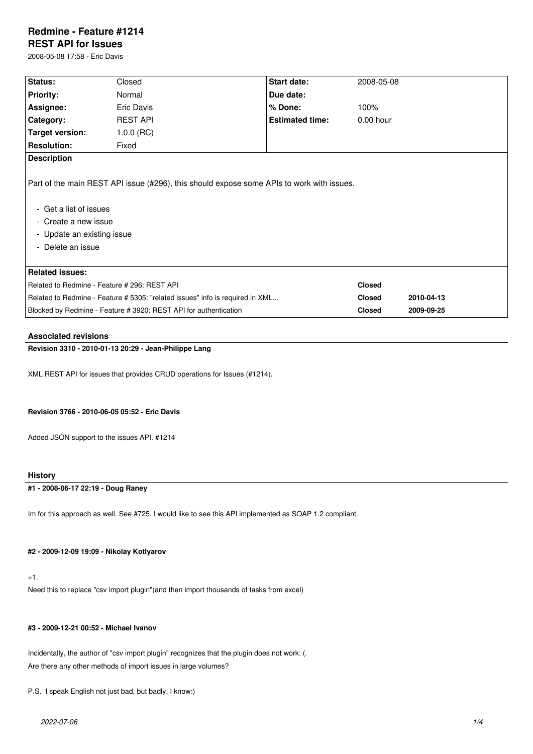# **Redmine - Feature #1214**

## **REST API for Issues**

2008-05-08 17:58 - Eric Davis

| <b>Status:</b>                                                                                                                                                                                 |                 |                        |               |            |
|------------------------------------------------------------------------------------------------------------------------------------------------------------------------------------------------|-----------------|------------------------|---------------|------------|
|                                                                                                                                                                                                | Closed          | Start date:            | 2008-05-08    |            |
| <b>Priority:</b>                                                                                                                                                                               | Normal          | Due date:              |               |            |
| Assignee:                                                                                                                                                                                      | Eric Davis      | % Done:                | 100%          |            |
| Category:                                                                                                                                                                                      | <b>REST API</b> | <b>Estimated time:</b> | $0.00$ hour   |            |
| Target version:                                                                                                                                                                                | $1.0.0$ (RC)    |                        |               |            |
| <b>Resolution:</b>                                                                                                                                                                             | Fixed           |                        |               |            |
| <b>Description</b>                                                                                                                                                                             |                 |                        |               |            |
| Part of the main REST API issue (#296), this should expose some APIs to work with issues.<br>- Get a list of issues<br>- Create a new issue<br>- Update an existing issue<br>- Delete an issue |                 |                        |               |            |
| <b>Related issues:</b>                                                                                                                                                                         |                 |                        |               |            |
| Related to Redmine - Feature # 296: REST API                                                                                                                                                   |                 |                        | <b>Closed</b> |            |
| Related to Redmine - Feature # 5305: "related issues" info is required in XML                                                                                                                  |                 |                        | <b>Closed</b> | 2010-04-13 |
| Blocked by Redmine - Feature # 3920: REST API for authentication                                                                                                                               |                 |                        | <b>Closed</b> | 2009-09-25 |

#### **Associated revisions**

## **Revision 3310 - 2010-01-13 20:29 - Jean-Philippe Lang**

XML REST API for issues that provides CRUD operations for Issues (#1214).

#### **Revision 3766 - 2010-06-05 05:52 - Eric Davis**

Added JSON support to the issues API. #1214

#### **History**

## **#1 - 2008-06-17 22:19 - Doug Raney**

Im for this approach as well. See #725. I would like to see this API implemented as SOAP 1.2 compliant.

#### **#2 - 2009-12-09 19:09 - Nikolay Kotlyarov**

+1.

Need this to replace "csv import plugin"(and then import thousands of tasks from excel)

## **#3 - 2009-12-21 00:52 - Michael Ivanov**

Incidentally, the author of "csv import plugin" recognizes that the plugin does not work: (. Are there any other methods of import issues in large volumes?

```
P.S. I speak English not just bad, but badly, I know:)
```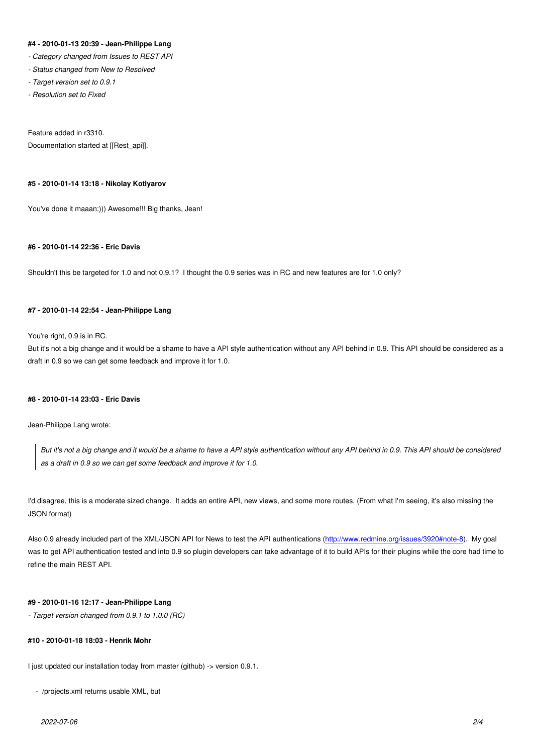#### **#4 - 2010-01-13 20:39 - Jean-Philippe Lang**

- *Category changed from Issues to REST API*
- *Status changed from New to Resolved*
- *Target version set to 0.9.1*
- *Resolution set to Fixed*

## Feature added in r3310.

Documentation started at [[Rest\_api]].

#### **#5 - 2010-01-14 13:18 - Nikolay Kotlyarov**

You've done it maaan:))) Awesome!!! Big thanks, Jean!

## **#6 - 2010-01-14 22:36 - Eric Davis**

Shouldn't this be targeted for 1.0 and not 0.9.1? I thought the 0.9 series was in RC and new features are for 1.0 only?

#### **#7 - 2010-01-14 22:54 - Jean-Philippe Lang**

#### You're right, 0.9 is in RC.

But it's not a big change and it would be a shame to have a API style authentication without any API behind in 0.9. This API should be considered as a draft in 0.9 so we can get some feedback and improve it for 1.0.

#### **#8 - 2010-01-14 23:03 - Eric Davis**

Jean-Philippe Lang wrote:

*But it's not a big change and it would be a shame to have a API style authentication without any API behind in 0.9. This API should be considered as a draft in 0.9 so we can get some feedback and improve it for 1.0.*

I'd disagree, this is a moderate sized change. It adds an entire API, new views, and some more routes. (From what I'm seeing, it's also missing the JSON format)

Also 0.9 already included part of the XML/JSON API for News to test the API authentications (http://www.redmine.org/issues/3920#note-8). My goal was to get API authentication tested and into 0.9 so plugin developers can take advantage of it to build APIs for their plugins while the core had time to refine the main REST API.

### **#9 - 2010-01-16 12:17 - Jean-Philippe Lang**

*- Target version changed from 0.9.1 to 1.0.0 (RC)*

#### **#10 - 2010-01-18 18:03 - Henrik Mohr**

I just updated our installation today from master (github) -> version 0.9.1.

- /projects.xml returns usable XML, but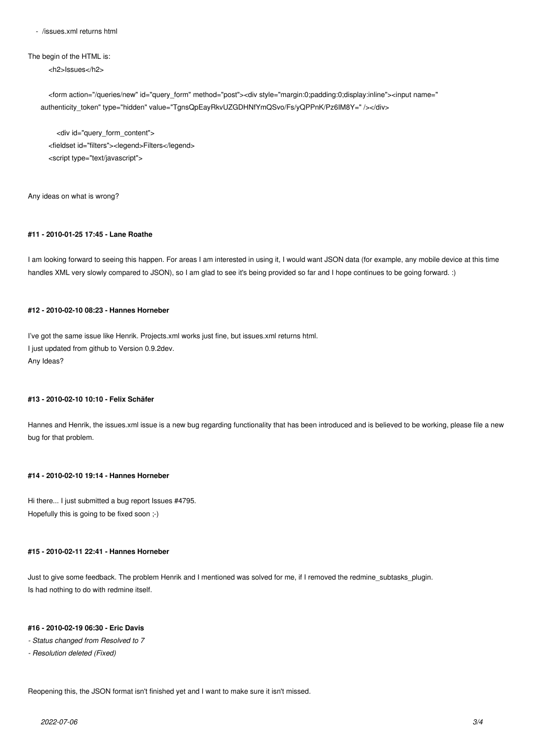- /issues.xml returns html

The begin of the HTML is:

<h2>Issues</h2>

 <form action="/queries/new" id="query\_form" method="post"><div style="margin:0;padding:0;display:inline"><input name=" authenticity\_token" type="hidden" value="TgnsQpEayRkvUZGDHNfYmQSvo/Fs/yQPPnK/Pz6IM8Y=" /></div>

 <div id="query\_form\_content"> <fieldset id="filters"><legend>Filters</legend> <script type="text/javascript">

Any ideas on what is wrong?

## **#11 - 2010-01-25 17:45 - Lane Roathe**

I am looking forward to seeing this happen. For areas I am interested in using it, I would want JSON data (for example, any mobile device at this time handles XML very slowly compared to JSON), so I am glad to see it's being provided so far and I hope continues to be going forward. :)

## **#12 - 2010-02-10 08:23 - Hannes Horneber**

I've got the same issue like Henrik. Projects.xml works just fine, but issues.xml returns html. I just updated from github to Version 0.9.2dev. Any Ideas?

#### **#13 - 2010-02-10 10:10 - Felix Schäfer**

Hannes and Henrik, the issues.xml issue is a new bug regarding functionality that has been introduced and is believed to be working, please file a new bug for that problem.

## **#14 - 2010-02-10 19:14 - Hannes Horneber**

Hi there... I just submitted a bug report Issues #4795. Hopefully this is going to be fixed soon ;-)

#### **#15 - 2010-02-11 22:41 - Hannes Horneber**

Just to give some feedback. The problem Henrik and I mentioned was solved for me, if I removed the redmine subtasks plugin. Is had nothing to do with redmine itself.

#### **#16 - 2010-02-19 06:30 - Eric Davis**

- *Status changed from Resolved to 7*
- *Resolution deleted (Fixed)*

Reopening this, the JSON format isn't finished yet and I want to make sure it isn't missed.